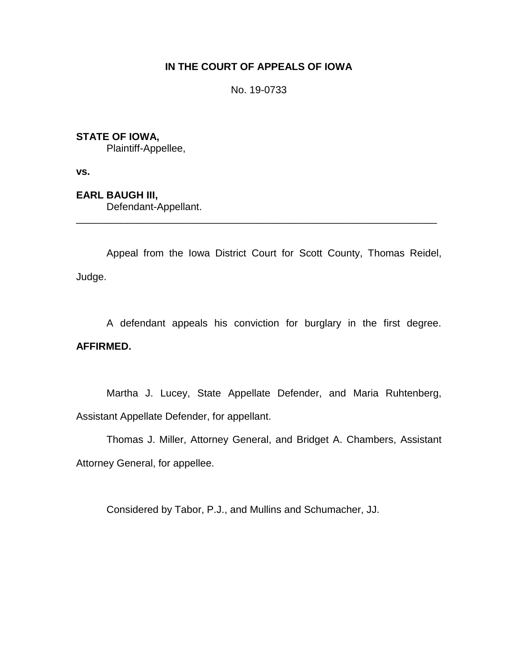# **IN THE COURT OF APPEALS OF IOWA**

No. 19-0733

# **STATE OF IOWA,**

Plaintiff-Appellee,

**vs.**

**EARL BAUGH III,** Defendant-Appellant.

Appeal from the Iowa District Court for Scott County, Thomas Reidel, Judge.

\_\_\_\_\_\_\_\_\_\_\_\_\_\_\_\_\_\_\_\_\_\_\_\_\_\_\_\_\_\_\_\_\_\_\_\_\_\_\_\_\_\_\_\_\_\_\_\_\_\_\_\_\_\_\_\_\_\_\_\_\_\_\_\_

A defendant appeals his conviction for burglary in the first degree. **AFFIRMED.**

Martha J. Lucey, State Appellate Defender, and Maria Ruhtenberg, Assistant Appellate Defender, for appellant.

Thomas J. Miller, Attorney General, and Bridget A. Chambers, Assistant Attorney General, for appellee.

Considered by Tabor, P.J., and Mullins and Schumacher, JJ.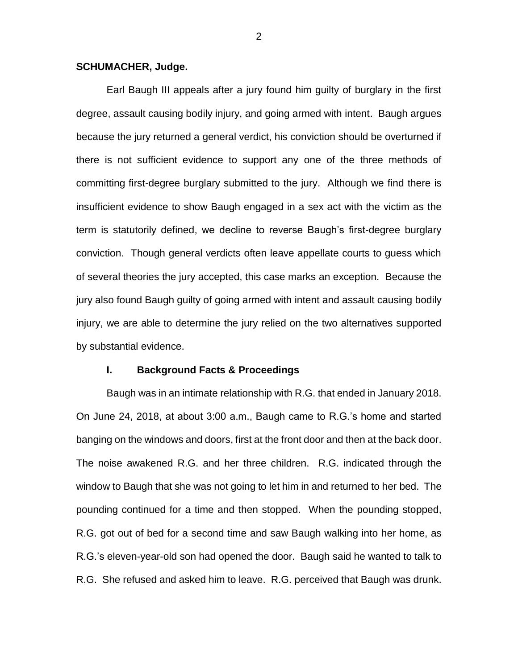### **SCHUMACHER, Judge.**

Earl Baugh III appeals after a jury found him guilty of burglary in the first degree, assault causing bodily injury, and going armed with intent. Baugh argues because the jury returned a general verdict, his conviction should be overturned if there is not sufficient evidence to support any one of the three methods of committing first-degree burglary submitted to the jury. Although we find there is insufficient evidence to show Baugh engaged in a sex act with the victim as the term is statutorily defined, we decline to reverse Baugh's first-degree burglary conviction. Though general verdicts often leave appellate courts to guess which of several theories the jury accepted, this case marks an exception. Because the jury also found Baugh guilty of going armed with intent and assault causing bodily injury, we are able to determine the jury relied on the two alternatives supported by substantial evidence.

#### **I. Background Facts & Proceedings**

Baugh was in an intimate relationship with R.G. that ended in January 2018. On June 24, 2018, at about 3:00 a.m., Baugh came to R.G.'s home and started banging on the windows and doors, first at the front door and then at the back door. The noise awakened R.G. and her three children. R.G. indicated through the window to Baugh that she was not going to let him in and returned to her bed. The pounding continued for a time and then stopped. When the pounding stopped, R.G. got out of bed for a second time and saw Baugh walking into her home, as R.G.'s eleven-year-old son had opened the door. Baugh said he wanted to talk to R.G. She refused and asked him to leave. R.G. perceived that Baugh was drunk.

2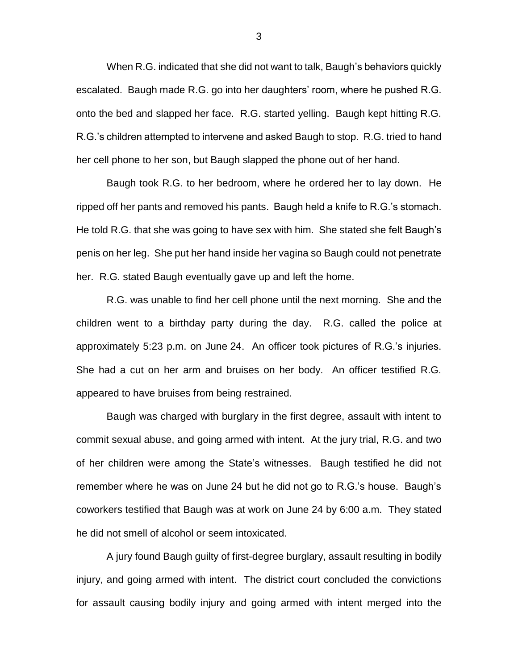When R.G. indicated that she did not want to talk, Baugh's behaviors quickly escalated. Baugh made R.G. go into her daughters' room, where he pushed R.G. onto the bed and slapped her face. R.G. started yelling. Baugh kept hitting R.G. R.G.'s children attempted to intervene and asked Baugh to stop. R.G. tried to hand her cell phone to her son, but Baugh slapped the phone out of her hand.

Baugh took R.G. to her bedroom, where he ordered her to lay down. He ripped off her pants and removed his pants. Baugh held a knife to R.G.'s stomach. He told R.G. that she was going to have sex with him. She stated she felt Baugh's penis on her leg. She put her hand inside her vagina so Baugh could not penetrate her. R.G. stated Baugh eventually gave up and left the home.

R.G. was unable to find her cell phone until the next morning. She and the children went to a birthday party during the day. R.G. called the police at approximately 5:23 p.m. on June 24. An officer took pictures of R.G.'s injuries. She had a cut on her arm and bruises on her body. An officer testified R.G. appeared to have bruises from being restrained.

Baugh was charged with burglary in the first degree, assault with intent to commit sexual abuse, and going armed with intent. At the jury trial, R.G. and two of her children were among the State's witnesses. Baugh testified he did not remember where he was on June 24 but he did not go to R.G.'s house. Baugh's coworkers testified that Baugh was at work on June 24 by 6:00 a.m. They stated he did not smell of alcohol or seem intoxicated.

A jury found Baugh guilty of first-degree burglary, assault resulting in bodily injury, and going armed with intent. The district court concluded the convictions for assault causing bodily injury and going armed with intent merged into the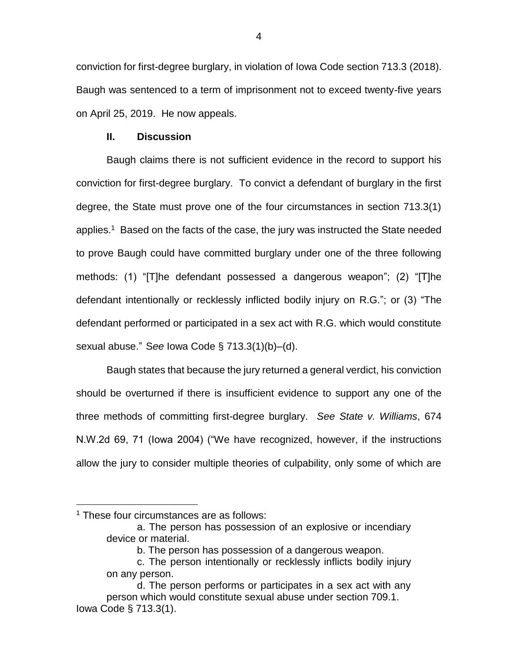conviction for first-degree burglary, in violation of Iowa Code section 713.3 (2018). Baugh was sentenced to a term of imprisonment not to exceed twenty-five years on April 25, 2019. He now appeals.

## **II. Discussion**

Baugh claims there is not sufficient evidence in the record to support his conviction for first-degree burglary. To convict a defendant of burglary in the first degree, the State must prove one of the four circumstances in section 713.3(1) applies.<sup>1</sup> Based on the facts of the case, the jury was instructed the State needed to prove Baugh could have committed burglary under one of the three following methods: (1) "[T]he defendant possessed a dangerous weapon"; (2) "[T]he defendant intentionally or recklessly inflicted bodily injury on R.G."; or (3) "The defendant performed or participated in a sex act with R.G. which would constitute sexual abuse." S*ee* Iowa Code § 713.3(1)(b)–(d).

Baugh states that because the jury returned a general verdict, his conviction should be overturned if there is insufficient evidence to support any one of the three methods of committing first-degree burglary. *See State v. Williams*, 674 N.W.2d 69, 71 (Iowa 2004) ("We have recognized, however, if the instructions allow the jury to consider multiple theories of culpability, only some of which are

<sup>&</sup>lt;sup>1</sup> These four circumstances are as follows:

a. The person has possession of an explosive or incendiary device or material.

b. The person has possession of a dangerous weapon.

c. The person intentionally or recklessly inflicts bodily injury on any person.

d. The person performs or participates in a sex act with any person which would constitute sexual abuse under section 709.1. Iowa Code § 713.3(1).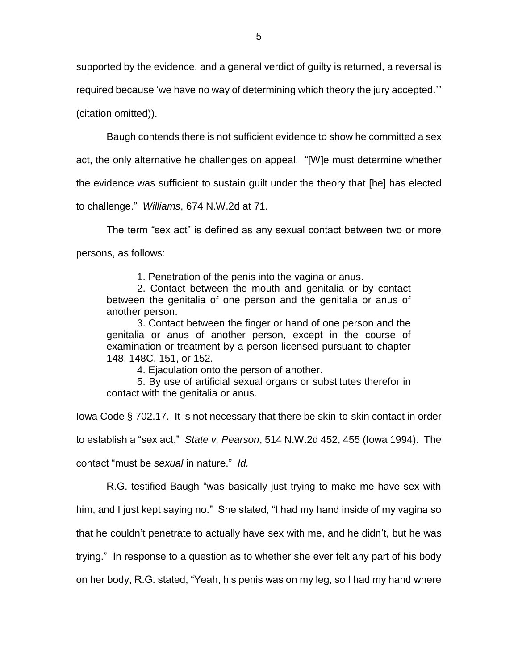supported by the evidence, and a general verdict of guilty is returned, a reversal is

required because 'we have no way of determining which theory the jury accepted.'"

(citation omitted)).

Baugh contends there is not sufficient evidence to show he committed a sex

act, the only alternative he challenges on appeal. "[W]e must determine whether

the evidence was sufficient to sustain guilt under the theory that [he] has elected

to challenge." *Williams*, 674 N.W.2d at 71.

The term "sex act" is defined as any sexual contact between two or more persons, as follows:

1. Penetration of the penis into the vagina or anus.

2. Contact between the mouth and genitalia or by contact between the genitalia of one person and the genitalia or anus of another person.

3. Contact between the finger or hand of one person and the genitalia or anus of another person, except in the course of examination or treatment by a person licensed pursuant to chapter 148, 148C, 151, or 152.

4. Ejaculation onto the person of another.

5. By use of artificial sexual organs or substitutes therefor in contact with the genitalia or anus.

Iowa Code § 702.17. It is not necessary that there be skin-to-skin contact in order

to establish a "sex act." *State v. Pearson*, 514 N.W.2d 452, 455 (Iowa 1994). The

contact "must be *sexual* in nature." *Id.*

R.G. testified Baugh "was basically just trying to make me have sex with

him, and I just kept saying no." She stated, "I had my hand inside of my vagina so

that he couldn't penetrate to actually have sex with me, and he didn't, but he was

trying." In response to a question as to whether she ever felt any part of his body

on her body, R.G. stated, "Yeah, his penis was on my leg, so I had my hand where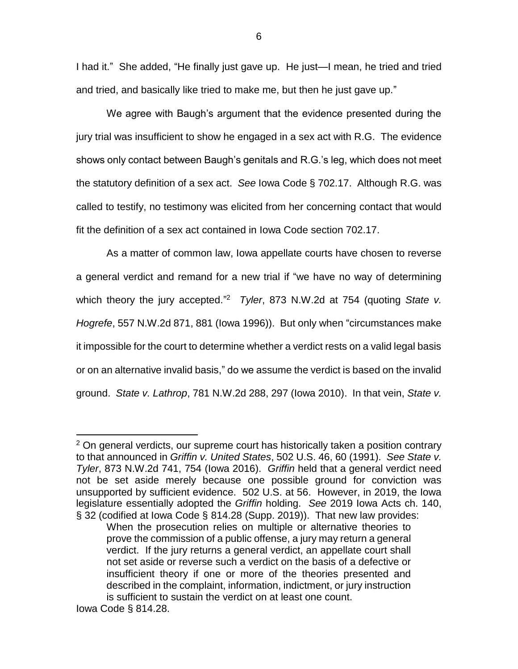I had it." She added, "He finally just gave up. He just—I mean, he tried and tried and tried, and basically like tried to make me, but then he just gave up."

6

We agree with Baugh's argument that the evidence presented during the jury trial was insufficient to show he engaged in a sex act with R.G. The evidence shows only contact between Baugh's genitals and R.G.'s leg, which does not meet the statutory definition of a sex act. *See* Iowa Code § 702.17. Although R.G. was called to testify, no testimony was elicited from her concerning contact that would fit the definition of a sex act contained in Iowa Code section 702.17.

As a matter of common law, Iowa appellate courts have chosen to reverse a general verdict and remand for a new trial if "we have no way of determining which theory the jury accepted." 2 *Tyler*, 873 N.W.2d at 754 (quoting *State v. Hogrefe*, 557 N.W.2d 871, 881 (Iowa 1996)). But only when "circumstances make it impossible for the court to determine whether a verdict rests on a valid legal basis or on an alternative invalid basis," do we assume the verdict is based on the invalid ground. *State v. Lathrop*, 781 N.W.2d 288, 297 (Iowa 2010). In that vein, *State v.* 

<sup>&</sup>lt;sup>2</sup> On general verdicts, our supreme court has historically taken a position contrary to that announced in *Griffin v. United States*, 502 U.S. 46, 60 (1991). *See State v. Tyler*, 873 N.W.2d 741, 754 (Iowa 2016). *Griffin* held that a general verdict need not be set aside merely because one possible ground for conviction was unsupported by sufficient evidence. 502 U.S. at 56. However, in 2019, the Iowa legislature essentially adopted the *Griffin* holding. *See* 2019 Iowa Acts ch. 140, § 32 (codified at Iowa Code § 814.28 (Supp. 2019)). That new law provides:

When the prosecution relies on multiple or alternative theories to prove the commission of a public offense, a jury may return a general verdict. If the jury returns a general verdict, an appellate court shall not set aside or reverse such a verdict on the basis of a defective or insufficient theory if one or more of the theories presented and described in the complaint, information, indictment, or jury instruction is sufficient to sustain the verdict on at least one count.

Iowa Code § 814.28.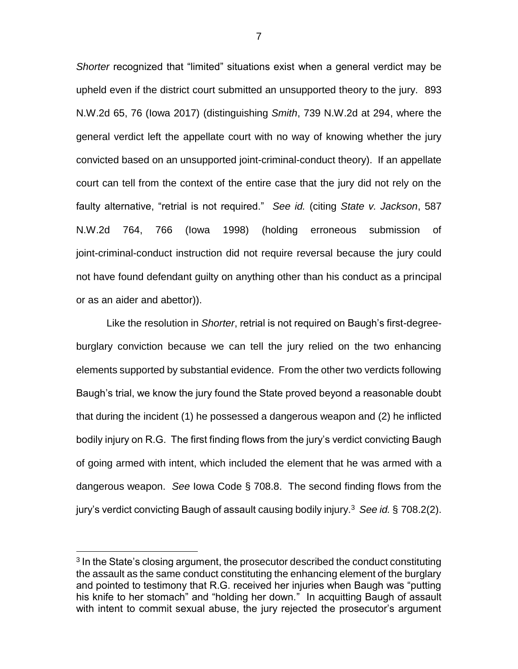*Shorter* recognized that "limited" situations exist when a general verdict may be upheld even if the district court submitted an unsupported theory to the jury. 893 N.W.2d 65, 76 (Iowa 2017) (distinguishing *Smith*, 739 N.W.2d at 294, where the general verdict left the appellate court with no way of knowing whether the jury convicted based on an unsupported joint-criminal-conduct theory). If an appellate court can tell from the context of the entire case that the jury did not rely on the faulty alternative, "retrial is not required." *See id.* (citing *State v. Jackson*, 587 N.W.2d 764, 766 (Iowa 1998) (holding erroneous submission of joint-criminal-conduct instruction did not require reversal because the jury could not have found defendant guilty on anything other than his conduct as a principal or as an aider and abettor)).

Like the resolution in *Shorter*, retrial is not required on Baugh's first-degreeburglary conviction because we can tell the jury relied on the two enhancing elements supported by substantial evidence. From the other two verdicts following Baugh's trial, we know the jury found the State proved beyond a reasonable doubt that during the incident (1) he possessed a dangerous weapon and (2) he inflicted bodily injury on R.G. The first finding flows from the jury's verdict convicting Baugh of going armed with intent, which included the element that he was armed with a dangerous weapon. *See* Iowa Code § 708.8. The second finding flows from the jury's verdict convicting Baugh of assault causing bodily injury.<sup>3</sup> *See id.* § 708.2(2).

<sup>&</sup>lt;sup>3</sup> In the State's closing argument, the prosecutor described the conduct constituting the assault as the same conduct constituting the enhancing element of the burglary and pointed to testimony that R.G. received her injuries when Baugh was "putting his knife to her stomach" and "holding her down." In acquitting Baugh of assault with intent to commit sexual abuse, the jury rejected the prosecutor's argument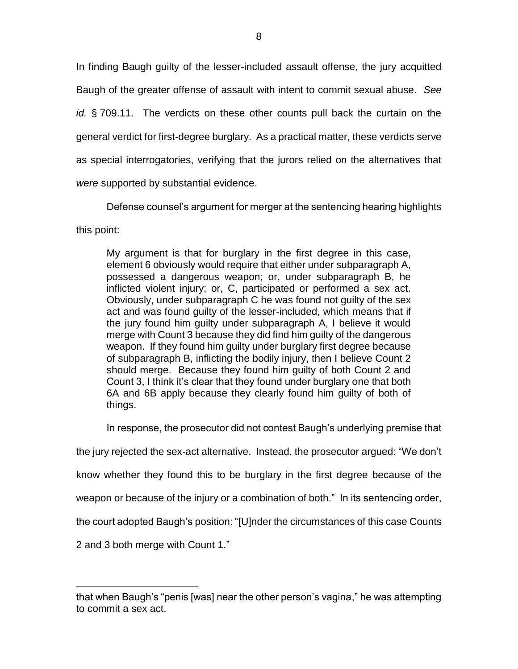In finding Baugh guilty of the lesser-included assault offense, the jury acquitted Baugh of the greater offense of assault with intent to commit sexual abuse. *See id.* § 709.11. The verdicts on these other counts pull back the curtain on the general verdict for first-degree burglary. As a practical matter, these verdicts serve as special interrogatories, verifying that the jurors relied on the alternatives that *were* supported by substantial evidence.

Defense counsel's argument for merger at the sentencing hearing highlights

this point:

My argument is that for burglary in the first degree in this case, element 6 obviously would require that either under subparagraph A, possessed a dangerous weapon; or, under subparagraph B, he inflicted violent injury; or, C, participated or performed a sex act. Obviously, under subparagraph C he was found not guilty of the sex act and was found guilty of the lesser-included, which means that if the jury found him guilty under subparagraph A, I believe it would merge with Count 3 because they did find him guilty of the dangerous weapon. If they found him guilty under burglary first degree because of subparagraph B, inflicting the bodily injury, then I believe Count 2 should merge. Because they found him guilty of both Count 2 and Count 3, I think it's clear that they found under burglary one that both 6A and 6B apply because they clearly found him guilty of both of things.

In response, the prosecutor did not contest Baugh's underlying premise that

the jury rejected the sex-act alternative. Instead, the prosecutor argued: "We don't

know whether they found this to be burglary in the first degree because of the

weapon or because of the injury or a combination of both." In its sentencing order,

the court adopted Baugh's position: "[U]nder the circumstances of this case Counts

2 and 3 both merge with Count 1."

that when Baugh's "penis [was] near the other person's vagina," he was attempting to commit a sex act.